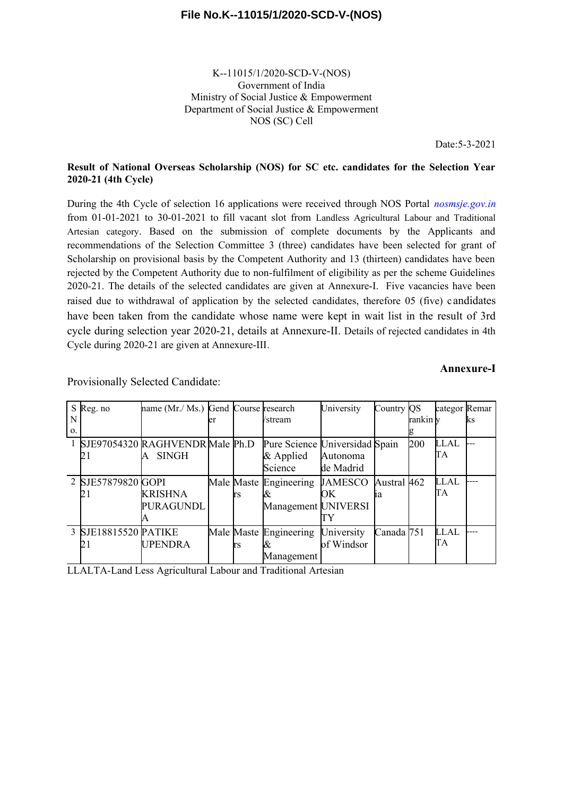K--11015/1/2020-SCD-V-(NOS) Government of India Ministry of Social Justice & Empowerment Department of Social Justice & Empowerment NOS (SC) Cell

Date:5-3-2021

#### **Result of National Overseas Scholarship (NOS) for SC etc. candidates for the Selection Year 2020-21 (4th Cycle)**

During the 4th Cycle of selection 16 applications were received through NOS Portal *nosmsje.gov.in* from 01-01-2021 to 30-01-2021 to fill vacant slot from Landless Agricultural Labour and Traditional Artesian category. Based on the submission of complete documents by the Applicants and recommendations of the Selection Committee 3 (three) candidates have been selected for grant of Scholarship on provisional basis by the Competent Authority and 13 (thirteen) candidates have been rejected by the Competent Authority due to non-fulfilment of eligibility as per the scheme Guidelines 2020-21. The details of the selected candidates are given at Annexure-I. Five vacancies have been raised due to withdrawal of application by the selected candidates, therefore 05 (five) c andidates have been taken from the candidate whose name were kept in wait list in the result of 3rd cycle during selection year 2020-21, details at Annexure-II. Details of rejected candidates in 4th Cycle during 2020-21 are given at Annexure-III.

#### **Annexure-I**

|    | S Reg. no            | name (Mr./ Ms.) Gend Course research |     |                                | University     | Country $QS$ |          | categor Remar |    |
|----|----------------------|--------------------------------------|-----|--------------------------------|----------------|--------------|----------|---------------|----|
| N  |                      |                                      |     | <i>Vstream</i>                 |                |              | rankin v |               | ks |
| 0. |                      |                                      |     |                                |                |              |          |               |    |
|    |                      | SJE97054320 RAGHVENDR Male Ph.D      |     | Pure Science Universidad Spain |                |              | 200      | LLAL          |    |
|    | ∠∣                   | <b>SINGH</b>                         |     | $&$ Applied                    | Autonoma       |              |          | TА            |    |
|    |                      |                                      |     | Science                        | de Madrid      |              |          |               |    |
|    | 2 SJE57879820 GOPI   |                                      |     | Male Maste Engineering         | <b>JAMESCO</b> | Austral 462  |          | <b>LLAL</b>   |    |
|    |                      | <b>KRISHNA</b>                       | trs |                                | OК             | 1a           |          | TА            |    |
|    |                      | PURAGUNDL                            |     | Management UNIVERSI            |                |              |          |               |    |
|    |                      |                                      |     |                                |                |              |          |               |    |
|    | 3 SJE18815520 PATIKE |                                      |     | Male Maste Engineering         | University     | Canada 751   |          | <b>LLAL</b>   |    |
|    | ZΙ                   | <b>UPENDRA</b>                       | rs  |                                | of Windsor     |              |          | TА            |    |
|    |                      |                                      |     | Management                     |                |              |          |               |    |

Provisionally Selected Candidate:

LLALTA-Land Less Agricultural Labour and Traditional Artesian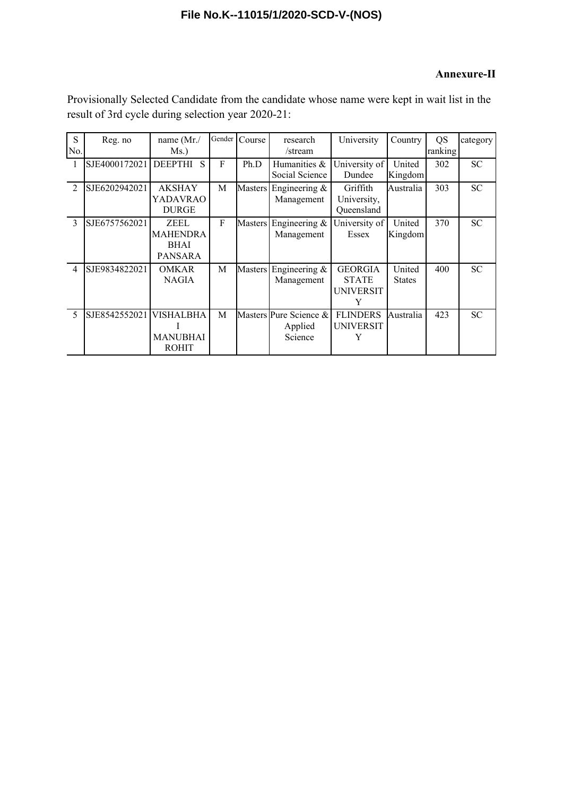### **Annexure-II**

| S<br>No.       | Reg. no       | name (Mr./<br>Ms.)                                       | Gender | Course         | research<br>/stream                          | University                                              | Country                 | QS<br>ranking | category  |
|----------------|---------------|----------------------------------------------------------|--------|----------------|----------------------------------------------|---------------------------------------------------------|-------------------------|---------------|-----------|
|                | SJE4000172021 | $\mathbf S$<br><b>DEEPTHI</b>                            | F      | Ph.D           | Humanities &<br>Social Science               | University of<br>Dundee                                 | United<br>Kingdom       | 302           | <b>SC</b> |
| $\mathcal{D}$  | SJE6202942021 | <b>AKSHAY</b><br>YADAVRAO<br><b>DURGE</b>                | M      |                | Masters Engineering $\&$<br>Management       | Griffith<br>University,<br>Queensland                   | Australia               | 303           | <b>SC</b> |
| $\mathcal{E}$  | SJE6757562021 | ZEEL<br><b>MAHENDRA</b><br><b>BHAI</b><br><b>PANSARA</b> | F      |                | Masters Engineering &<br>Management          | University of<br>Essex                                  | United<br>Kingdom       | 370           | <b>SC</b> |
| $\overline{4}$ | SJE9834822021 | <b>OMKAR</b><br><b>NAGIA</b>                             | M      | <b>Masters</b> | Engineering $\&$<br>Management               | <b>GEORGIA</b><br><b>STATE</b><br><b>UNIVERSIT</b><br>Y | United<br><b>States</b> | 400           | <b>SC</b> |
| 5              | SJE8542552021 | VISHALBHA<br><b>MANUBHAI</b><br><b>ROHIT</b>             | M      |                | Masters Pure Science &<br>Applied<br>Science | <b>FLINDERS</b><br><b>UNIVERSIT</b>                     | Australia               | 423           | <b>SC</b> |

Provisionally Selected Candidate from the candidate whose name were kept in wait list in the result of 3rd cycle during selection year 2020-21: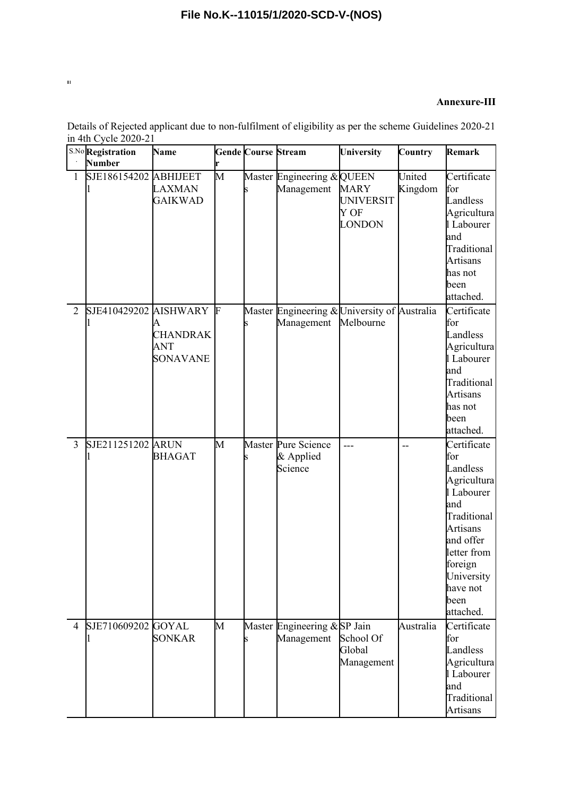#### **Annexure-III**

|                | S.No Registration<br>Number | Name                               |   | <b>Gende Course Stream</b> |                                                            | University                                               | Country           | Remark                                                                                                                                                                                     |
|----------------|-----------------------------|------------------------------------|---|----------------------------|------------------------------------------------------------|----------------------------------------------------------|-------------------|--------------------------------------------------------------------------------------------------------------------------------------------------------------------------------------------|
| $\mathbf{1}$   | SJE186154202 ABHIJEET       | LAXMAN<br><b>GAIKWAD</b>           | M |                            | Master Engineering & QUEEN<br>Management                   | <b>MARY</b><br><b>UNIVERSIT</b><br>Y OF<br><b>LONDON</b> | United<br>Kingdom | Certificate<br>for<br>Landless<br>Agricultura<br>l Labourer<br>and<br>Traditional<br><b>Artisans</b><br>has not<br>been<br>attached.                                                       |
| $\overline{2}$ | SJE410429202 AISHWARY F     | <b>CHANDRAK</b><br>ANT<br>SONAVANE |   |                            | Master Engineering & University of Australia<br>Management | Melbourne                                                |                   | Certificate<br>for<br>Landless<br>Agricultura<br>1 Labourer<br>and<br>Traditional<br><b>Artisans</b><br>has not<br>been<br>attached.                                                       |
| $\overline{3}$ | SJE211251202 ARUN           | <b>BHAGAT</b>                      | М |                            | Master Pure Science<br>& Applied<br>Science                | ---                                                      | --                | Certificate<br>for<br>Landless<br>Agricultura<br>l Labourer<br>and<br>Traditional<br><b>Artisans</b><br>and offer<br>letter from<br>foreign<br>University<br>have not<br>been<br>attached. |
| $\overline{4}$ | SJE710609202 GOYAL          | <b>SONKAR</b>                      | M |                            | Master Engineering & SP Jain<br>Management                 | School Of<br>Global<br>Management                        | Australia         | Certificate<br>for<br>Landless<br>Agricultura<br>l Labourer<br>and<br>Traditional<br>Artisans                                                                                              |

Details of Rejected applicant due to non-fulfilment of eligibility as per the scheme Guidelines 2020-21 in 4th Cycle 2020-21

 $\bar{\rm H}$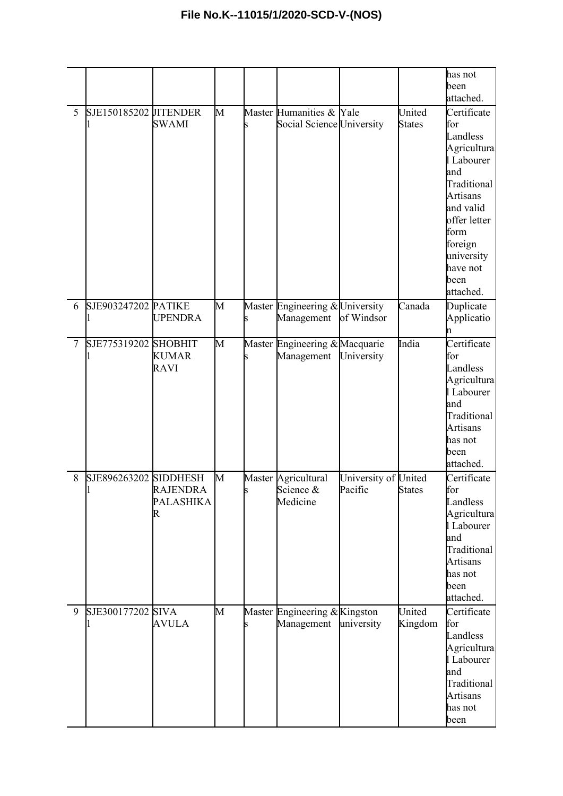|                |                       |                                   |   |                                                        |                                 |                         | has not<br>been<br>attached.                                                                                                                                                                        |
|----------------|-----------------------|-----------------------------------|---|--------------------------------------------------------|---------------------------------|-------------------------|-----------------------------------------------------------------------------------------------------------------------------------------------------------------------------------------------------|
| 5              | SJE150185202 JITENDER | <b>SWAMI</b>                      | M | Master Humanities & Yale<br>Social Science University  |                                 | United<br><b>States</b> | Certificate<br>for<br>Landless<br>Agricultura<br>l Labourer<br>and<br>Traditional<br><b>Artisans</b><br>and valid<br>offer letter<br>form<br>foreign<br>university<br>have not<br>been<br>attached. |
| 6              | SJE903247202 PATIKE   | UPENDRA                           | M | Master Engineering & University<br>Management          | of Windsor                      | Canada                  | Duplicate<br>Applicatio<br>n                                                                                                                                                                        |
| $\overline{7}$ | SJE775319202 SHOBHIT  | <b>KUMAR</b><br><b>RAVI</b>       | M | Master Engineering & Macquarie<br>Management           | University                      | India                   | Certificate<br>for<br>Landless<br>Agricultura<br>l Labourer<br>and<br>Traditional<br><b>Artisans</b><br>has not<br>been<br>attached.                                                                |
| 8              | SJE896263202 SIDDHESH | <b>RAJENDRA</b><br>PALASHIKA<br>R | M | Master Agricultural<br>Science &<br>Medicine           | University of United<br>Pacific | <b>States</b>           | Certificate<br>tor<br>Landless<br>Agricultura<br>l Labourer<br>and<br>Traditional<br><b>Artisans</b><br>has not<br>been<br>attached.                                                                |
| 9              | SJE300177202 SIVA     | <b>AVULA</b>                      | M | Master Engineering & Kingston<br>Management university |                                 | United<br>Kingdom       | Certificate<br>for<br>Landless<br>Agricultura<br>l Labourer<br>and<br>Traditional<br><b>Artisans</b><br>has not<br>been                                                                             |